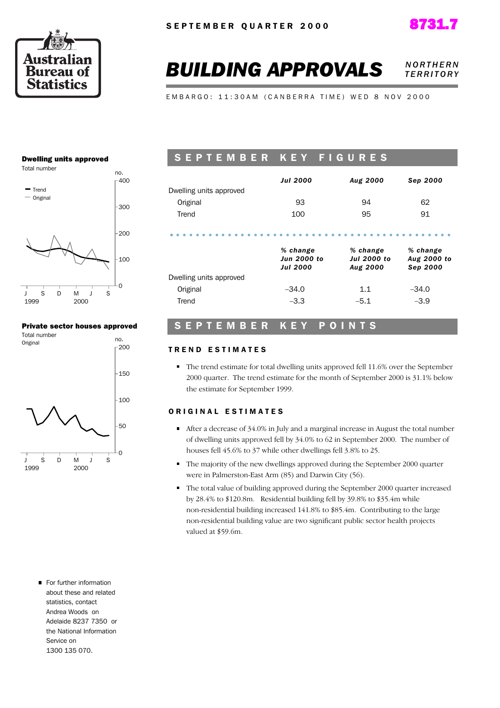



# **BUILDING APPROVALS NORTHERN** *T E R R I T O R Y*

E M B A R G O : 11:30 A M ( C A N B E R R A T I M E ) W E D 8 N O V 2000

#### Dwelling units approved



#### Private sector houses approved



# SEPTEMBER KEY FIGURES

|                         | <b>Jul 2000</b> | Aug 2000 | Sep 2000 |
|-------------------------|-----------------|----------|----------|
| Dwelling units approved |                 |          |          |
| Original                | 93              | 94       | 62       |
| Trend                   | 100             | 95       | 91       |
|                         |                 |          |          |

|                         | % change<br><b>Jun 2000 to</b><br><b>Jul 2000</b> | % change<br><b>Jul 2000 to</b><br>Aug 2000 | % change<br>Aug 2000 to<br>Sep 2000 |
|-------------------------|---------------------------------------------------|--------------------------------------------|-------------------------------------|
| Dwelling units approved |                                                   |                                            |                                     |
| Original                | $-34.0$                                           | 1.1                                        | $-34.0$                             |
| Trend                   | $-3.3$                                            | $-5.1$                                     | $-3.9$                              |

### SEPTEMBER KEY POINTS

#### TREND ESTIMATES

The trend estimate for total dwelling units approved fell 11.6% over the September 2000 quarter. The trend estimate for the month of September 2000 is 31.1% below the estimate for September 1999.

#### ORIGINAL ESTIMATES

- After a decrease of 34.0% in July and a marginal increase in August the total number of dwelling units approved fell by 34.0% to 62 in September 2000. The number of houses fell 45.6% to 37 while other dwellings fell 3.8% to 25.
- The majority of the new dwellings approved during the September 2000 quarter were in Palmerston-East Arm (85) and Darwin City (56).
- The total value of building approved during the September 2000 quarter increased by 28.4% to \$120.8m. Residential building fell by 39.8% to \$35.4m while non-residential building increased 141.8% to \$85.4m. Contributing to the large non-residential building value are two significant public sector health projects valued at \$59.6m.
- For further information about these and related statistics, contact Andrea Woods on Adelaide 8237 7350 or the National Information Service on 1300 135 070.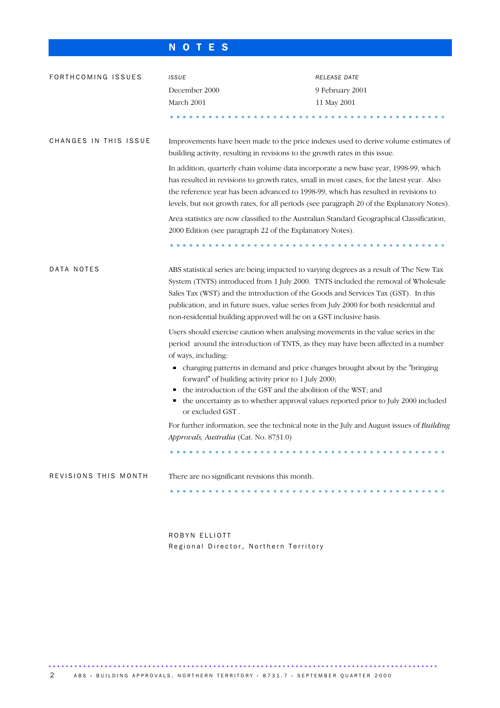# N O T E S

| FORTHCOMING ISSUES    | <b>ISSUE</b>                                                                                                                                                                                                                                                             | RELEASE DATE                                                                                                                                                                 |  |  |  |  |  |  |
|-----------------------|--------------------------------------------------------------------------------------------------------------------------------------------------------------------------------------------------------------------------------------------------------------------------|------------------------------------------------------------------------------------------------------------------------------------------------------------------------------|--|--|--|--|--|--|
|                       | December 2000                                                                                                                                                                                                                                                            | 9 February 2001                                                                                                                                                              |  |  |  |  |  |  |
|                       | March 2001                                                                                                                                                                                                                                                               | 11 May 2001                                                                                                                                                                  |  |  |  |  |  |  |
|                       |                                                                                                                                                                                                                                                                          |                                                                                                                                                                              |  |  |  |  |  |  |
| CHANGES IN THIS ISSUE | Improvements have been made to the price indexes used to derive volume estimates of<br>building activity, resulting in revisions to the growth rates in this issue.                                                                                                      |                                                                                                                                                                              |  |  |  |  |  |  |
|                       | In addition, quarterly chain volume data incorporate a new base year, 1998-99, which<br>has resulted in revisions to growth rates, small in most cases, for the latest year. Also<br>the reference year has been advanced to 1998-99, which has resulted in revisions to | levels, but not growth rates, for all periods (see paragraph 20 of the Explanatory Notes).                                                                                   |  |  |  |  |  |  |
|                       | Area statistics are now classified to the Australian Standard Geographical Classification,<br>2000 Edition (see paragraph 22 of the Explanatory Notes).                                                                                                                  |                                                                                                                                                                              |  |  |  |  |  |  |
|                       |                                                                                                                                                                                                                                                                          |                                                                                                                                                                              |  |  |  |  |  |  |
| DATA NOTES            | Sales Tax (WST) and the introduction of the Goods and Services Tax (GST). In this<br>publication, and in future isues, value series from July 2000 for both residential and<br>non-residential building approved will be on a GST inclusive basis.                       | ABS statistical series are being impacted to varying degrees as a result of The New Tax<br>System (TNTS) introduced from 1 July 2000. TNTS included the removal of Wholesale |  |  |  |  |  |  |
|                       | Users should exercise caution when analysing movements in the value series in the<br>of ways, including:                                                                                                                                                                 | period around the introduction of TNTS, as they may have been affected in a number                                                                                           |  |  |  |  |  |  |
|                       | п<br>forward" of building activity prior to 1 July 2000;<br>the introduction of the GST and the abolition of the WST; and                                                                                                                                                | changing patterns in demand and price changes brought about by the "bringing                                                                                                 |  |  |  |  |  |  |
|                       | п<br>or excluded GST.                                                                                                                                                                                                                                                    | the uncertainty as to whether approval values reported prior to July 2000 included                                                                                           |  |  |  |  |  |  |
|                       | Approvals, Australia (Cat. No. 8731.0)                                                                                                                                                                                                                                   | For further information, see the technical note in the July and August issues of Building                                                                                    |  |  |  |  |  |  |
|                       |                                                                                                                                                                                                                                                                          |                                                                                                                                                                              |  |  |  |  |  |  |
| REVISIONS THIS MONTH  | There are no significant revisions this month.                                                                                                                                                                                                                           |                                                                                                                                                                              |  |  |  |  |  |  |
|                       |                                                                                                                                                                                                                                                                          |                                                                                                                                                                              |  |  |  |  |  |  |
|                       |                                                                                                                                                                                                                                                                          |                                                                                                                                                                              |  |  |  |  |  |  |
|                       |                                                                                                                                                                                                                                                                          |                                                                                                                                                                              |  |  |  |  |  |  |

ROBYN ELLIOTT Regional Director, Northern Territory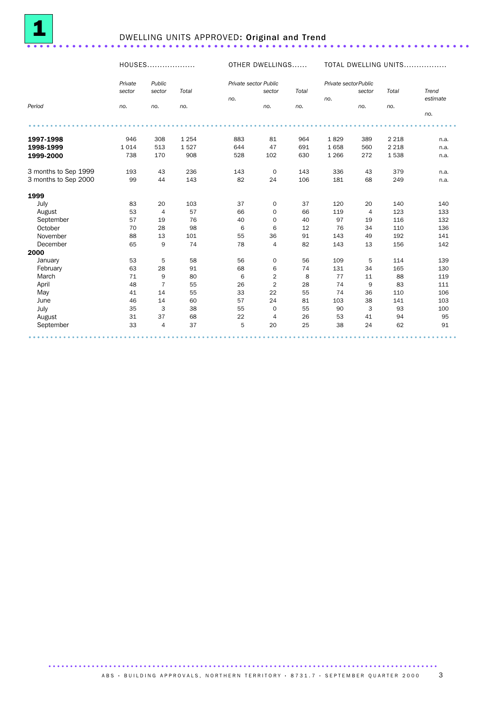

# <sup>1</sup> DWELLING UNITS APPROVED: Original and Trend ..................................................................... .

#### HOUSES................... OTHER DWELLINGS...... TOTAL DWELLING UNITS................. *Period Private sector no. Public sector no. Total no. Private sector Public no. sector no. Total no. Private sector Public no. sector no. Total no. Trend estimate no.* ................................................................................................... ... **1997-1998** 946 308 1 254 883 81 964 1 829 389 2 218 n.a. **1998-1999** 1 014 513 1 527 644 47 691 1 658 560 2 218 n.a. **1999-2000** 738 170 908 528 102 630 1266 272 1 538 n.a. 3 months to Sep 1999 193 43 236 143 0 143 336 43 379 n.a.<br>3 months to Sep 2000 99 44 143 82 24 106 181 68 249 n.a. 3 months to Sep 2000  $1999$ <br>July July 83 20 103 37 0 37 120 20 140 140 August 53 4 57 66 0 66 119 4 123 133 September 57 19 76 40 0 40 97 19 116 132 October 70 28 98 6 6 12 76 34 110 136 November 88 13 101 55 36 91 143 49 192 141 December 65 9 74 78 4 82 143 13 156 142 2000 January 53 5 58 56 0 56 109 5 114 139 February 63 28 91 68 6 74 131 34 165 130 March 71 9 80 6 2 8 77 11 88 119 April 48 7 55 26 2 28 74 9 83 111 May 41 14 55 33 22 55 74 36 110 106 June 46 14 60 57 24 81 103 38 141 103 July 35 3 38 55 0 55 90 3 93 100 August 31 37 68 22 4 26 53 41 94 95 September 33 4 37 5 20 25 38 24 62 91 ................................................................................................... ...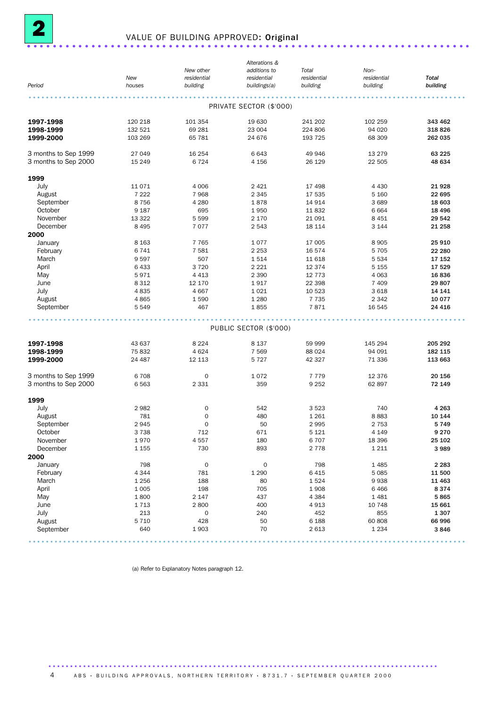

# <sup>2</sup> VALUE OF BUILDING APPROVED: Original ..................................................................... .

|                      |          |                     | Alterations &           |             |             |              |
|----------------------|----------|---------------------|-------------------------|-------------|-------------|--------------|
|                      |          | New other           | additions to            | Total       | Non-        |              |
|                      | New      | residential         | residential             | residential | residential | <b>Total</b> |
| Period               | houses   | building            | buildings(a)            | building    | building    | building     |
|                      |          |                     |                         |             |             |              |
|                      |          |                     | PRIVATE SECTOR (\$'000) |             |             |              |
| 1997-1998            | 120 218  | 101 354             | 19 630                  | 241 202     | 102 259     | 343 462      |
| 1998-1999            | 132 521  | 69 281              | 23 004                  | 224 806     | 94 0 20     | 318 826      |
| 1999-2000            | 103 269  | 65 781              | 24 676                  | 193 725     | 68 309      | 262 035      |
| 3 months to Sep 1999 | 27 049   | 16 254              | 6643                    | 49 946      | 13 2 7 9    | 63 2 25      |
| 3 months to Sep 2000 | 15 2 4 9 | 6724                | 4 1 5 6                 | 26 1 29     | 22 505      | 48 634       |
| 1999                 |          |                     |                         |             |             |              |
| July                 | 11071    | 4 0 0 6             | 2 4 2 1                 | 17 498      | 4 4 3 0     | 21928        |
| August               | 7 2 2 2  | 7968                | 2 3 4 5                 |             | 5 1 6 0     | 22 695       |
|                      |          |                     |                         | 17 535      |             |              |
| September            | 8756     | 4 2 8 0             | 1878                    | 14 914      | 3689        | 18 603       |
| October              | 9 1 8 7  | 695                 | 1950                    | 11832       | 6664        | 18 4 96      |
| November             | 13 322   | 5 5 9 9             | 2 1 7 0                 | 21 091      | 8 4 5 1     | 29 542       |
| December             | 8 4 9 5  | 7077                | 2 5 4 3                 | 18 114      | 3 1 4 4     | 21 258       |
| 2000                 |          |                     |                         |             |             |              |
| January              | 8 1 6 3  | 7 7 6 5             | 1077                    | 17 005      | 8 9 0 5     | 25 910       |
| February             | 6741     | 7581                | 2 2 5 3                 | 16 574      | 5 7 0 5     | 22 280       |
| March                | 9597     | 507                 | 1514                    | 11 618      | 5 5 3 4     | 17 152       |
| April                | 6433     | 3720                | 2 2 2 1                 | 12 3 74     | 5 1 5 5     | 17 529       |
| May                  | 5971     | 4 4 1 3             | 2 3 9 0                 | 12 7 7 3    | 4 0 63      | 16836        |
| June                 | 8 3 1 2  | 12 170              | 1917                    | 22 3 98     | 7 4 0 9     | 29 807       |
| July                 | 4835     | 4 6 6 7             | 1 0 2 1                 | 10 523      | 3 6 18      | 14 141       |
| August               | 4865     | 1590                | 1 2 8 0                 | 7 7 3 5     | 2 3 4 2     | 10 077       |
| September            | 5 5 4 9  | 467                 | 1855                    | 7871        | 16 545      | 24 4 16      |
|                      |          |                     |                         |             |             |              |
|                      |          |                     | PUBLIC SECTOR (\$'000)  |             |             |              |
| 1997-1998            | 43 637   | 8 2 2 4             | 8 1 3 7                 | 59 999      | 145 294     | 205 292      |
| 1998-1999            | 75832    | 4624                | 7 5 6 9                 | 88 0 24     | 94 091      | 182 115      |
| 1999-2000            | 24 487   | 12 113              | 5 7 2 7                 | 42 327      | 71 336      | 113 663      |
|                      |          |                     |                         |             |             |              |
| 3 months to Sep 1999 | 6708     | $\mathbf 0$         | 1072                    | 7 7 7 9     | 12 376      | 20 156       |
| 3 months to Sep 2000 | 6563     | 2 3 3 1             | 359                     | 9 2 5 2     | 62 897      | 72 149       |
| 1999                 |          |                     |                         |             |             |              |
| July                 | 2982     | 0                   | 542                     | 3523        | 740         | 4 2 6 3      |
| August               | 781      | $\mathbf 0$         | 480                     | 1 2 6 1     | 8883        | 10 144       |
| September            | 2945     | $\mathbf 0$         | 50                      | 2995        | 2 7 5 3     | 5749         |
| October              | 3738     | 712                 | 671                     | 5 1 2 1     | 4 1 4 9     | 9 2 7 0      |
| November             | 1970     | 4557                | 180                     | 6707        | 18 396      | 25 102       |
| December             | 1 1 5 5  | 730                 | 893                     | 2 7 7 8     | 1 2 1 1     | 3 9 8 9      |
| 2000                 |          |                     |                         |             |             |              |
|                      | 798      | $\mathbf 0$         | $\mathbf 0$             | 798         | 1485        | 2 2 8 3      |
| January              | 4 3 4 4  |                     |                         |             | 5 0 8 5     |              |
| February             |          | 781                 | 1 2 9 0                 | 6415        |             | 11 500       |
| March                | 1 2 5 6  | 188                 | 80                      | 1524        | 9938        | 11 463       |
| April                | 1 0 0 5  | 198                 | 705                     | 1908        | 6466        | 8374         |
| May                  | 1800     | 2 1 4 7             | 437                     | 4 3 8 4     | 1 4 8 1     | 5865         |
| June                 | 1713     | 2800                | 400                     | 4913        | 10 748      | 15 661       |
| July                 | 213      | $\mathsf{O}\xspace$ | 240                     | 452         | 855         | 1 3 0 7      |
| August               | 5 7 1 0  | 428                 | 50                      | 6 1 8 8     | 60 808      | 66 996       |
| September            | 640      | 1903                | 70                      | 2613        | 1 2 3 4     | 3846         |
|                      |          |                     |                         |             |             |              |

(a) Refer to Explanatory Notes paragraph 12.

4 ABS · BUILDING APPROVALS, NORTHERN TERRITORY · 8731.7 · SEPTEMBER QUARTER 2000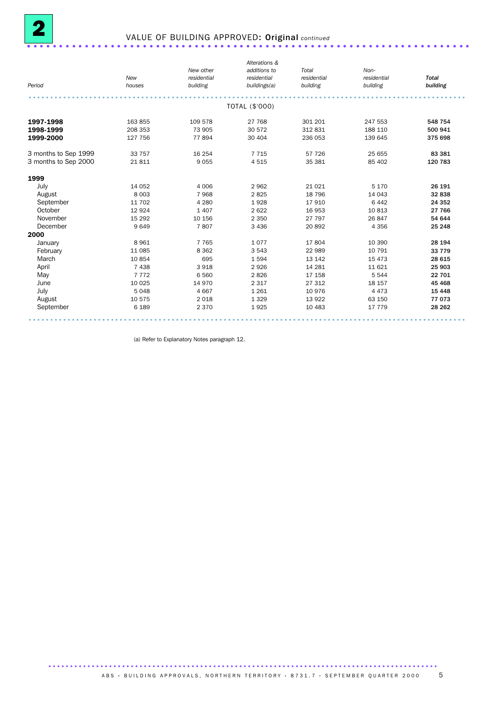

# 2 VALUE OF BUILDING APPROVED: Original *continued* ..................................................................... .

|                      |          |             | Alterations &  |             |             |              |
|----------------------|----------|-------------|----------------|-------------|-------------|--------------|
|                      |          | New other   | additions to   | Total       | Non-        |              |
|                      | New      | residential | residential    | residential | residential | <b>Total</b> |
| Period               | houses   | building    | buildings(a)   | building    | building    | building     |
|                      |          |             |                |             |             |              |
|                      |          |             | TOTAL (\$'000) |             |             |              |
| 1997-1998            | 163 855  | 109 578     | 27 768         | 301 201     | 247 553     | 548 754      |
| 1998-1999            | 208 353  | 73 905      | 30 572         | 312 831     | 188 110     | 500 941      |
| 1999-2000            | 127 756  | 77894       | 30 404         | 236 053     | 139 645     | 375 698      |
| 3 months to Sep 1999 | 33 757   | 16 254      | 7 7 1 5        | 57 726      | 25 655      | 83 381       |
| 3 months to Sep 2000 | 21811    | 9 0 5 5     | 4515           | 35 381      | 85 402      | 120 783      |
| 1999                 |          |             |                |             |             |              |
| July                 | 14 052   | 4 0 0 6     | 2962           | 21 0 21     | 5 1 7 0     | 26 191       |
| August               | 8 0 0 3  | 7968        | 2825           | 18 796      | 14 043      | 32 838       |
| September            | 11 702   | 4 2 8 0     | 1928           | 17910       | 6 4 4 2     | 24 352       |
| October              | 12 9 24  | 1 4 0 7     | 2 6 2 2        | 16 953      | 10813       | 27 766       |
| November             | 15 2 9 2 | 10 156      | 2 3 5 0        | 27 797      | 26 847      | 54 644       |
| December             | 9649     | 7807        | 3 4 3 6        | 20 892      | 4 3 5 6     | 25 248       |
| 2000                 |          |             |                |             |             |              |
| January              | 8961     | 7 7 6 5     | 1077           | 17804       | 10 390      | 28 194       |
| February             | 11 0 85  | 8 3 6 2     | 3 5 4 3        | 22 989      | 10 791      | 33 7 7 9     |
| March                | 10854    | 695         | 1594           | 13 142      | 15 4 73     | 28 615       |
| April                | 7438     | 3918        | 2926           | 14 28 1     | 11 6 21     | 25 903       |
| May                  | 7 7 7 2  | 6 5 6 0     | 2826           | 17 158      | 5 5 4 4     | 22 701       |
| June                 | 10 0 25  | 14 970      | 2 3 1 7        | 27 312      | 18 157      | 45 4 68      |
| July                 | 5048     | 4 6 6 7     | 1 2 6 1        | 10976       | 4 4 7 3     | 15 4 48      |
| August               | 10 575   | 2 0 18      | 1 3 2 9        | 13 9 22     | 63 150      | 77 073       |
| September            | 6 1 8 9  | 2 3 7 0     | 1925           | 10 483      | 17 779      | 28 26 2      |

(a) Refer to Explanatory Notes paragraph 12.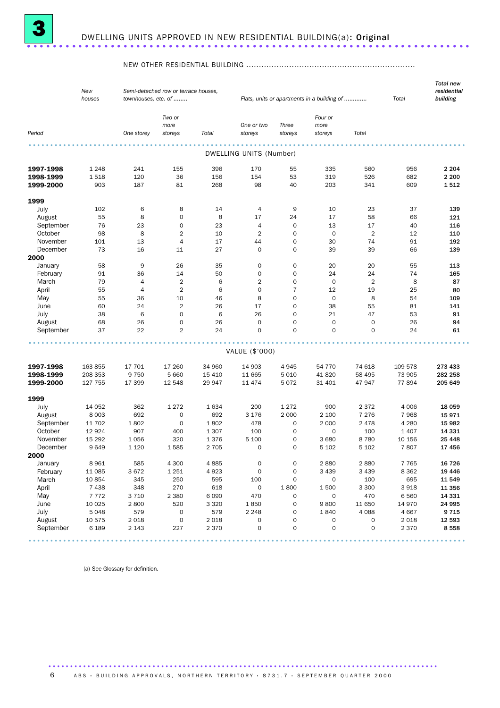

#### NEW OTHER RESIDENTIAL BUILDING ...................................................................

|           | New<br>houses | townhouses, etc. of | Semi-detached row or terrace houses, |         |                         | Flats, units or apartments in a building of | Total           | <b>Total new</b><br>residential<br>building |                   |         |
|-----------|---------------|---------------------|--------------------------------------|---------|-------------------------|---------------------------------------------|-----------------|---------------------------------------------|-------------------|---------|
|           |               |                     | Two or                               |         |                         |                                             | Four or         |                                             |                   |         |
| Period    |               | One storey          | more<br>storeys                      | Total   | One or two<br>storeys   | Three<br>storeys                            | more<br>storeys | Total                                       |                   |         |
|           |               |                     |                                      |         | DWELLING UNITS (Number) |                                             |                 |                                             |                   |         |
|           |               |                     |                                      |         |                         |                                             |                 |                                             |                   |         |
| 1997-1998 | 1 2 4 8       | 241                 | 155                                  | 396     | 170                     | 55                                          | 335             | 560                                         | 956               | 2 2 0 4 |
| 1998-1999 | 1518          | 120                 | 36                                   | 156     | 154                     | 53                                          | 319             | 526                                         | 682               | 2 2 0 0 |
| 1999-2000 | 903           | 187                 | 81                                   | 268     | 98                      | 40                                          | 203             | 341                                         | 609               | 1512    |
| 1999      |               |                     |                                      |         |                         |                                             |                 |                                             |                   |         |
| July      | 102           | 6                   | 8                                    | 14      | 4                       | 9                                           | 10              | 23                                          | 37                | 139     |
| August    | 55            | 8                   | 0                                    | 8       | 17                      | 24                                          | 17              | 58                                          | 66                | 121     |
| September | 76            | 23                  | 0                                    | 23      | $\overline{4}$          | $\mathbf 0$                                 | 13              | 17                                          | 40                | 116     |
| October   | 98            | 8                   | $\overline{2}$                       | 10      | $\overline{2}$          | $\mathbf 0$                                 | $\mathbf 0$     | $\overline{2}$                              | 12                | 110     |
| November  | 101           | 13                  | 4                                    | 17      | 44                      | $\mathbf 0$                                 | 30              | 74                                          | 91                | 192     |
| December  | 73            | 16                  | 11                                   | 27      | $\mathbf 0$             | $\mathbf 0$                                 | 39              | 39                                          | 66                | 139     |
| 2000      |               |                     |                                      |         |                         |                                             |                 |                                             |                   |         |
| January   | 58            | 9                   | 26                                   | 35      | $\mathbf 0$             | $\mathbf 0$                                 | 20              | 20                                          | 55                | 113     |
| February  | 91            | 36                  | 14                                   | 50      | $\mathbf 0$             | $\mathbf 0$                                 | 24              | 24                                          | 74                | 165     |
| March     | 79            | $\overline{4}$      | $\overline{2}$                       | 6       | $\overline{2}$          | $\mathbf 0$                                 | $\mathbf 0$     | $\overline{2}$                              | 8                 | 87      |
| April     | 55            | $\overline{4}$      | $\overline{2}$                       | 6       | $\mathbf 0$             | $\overline{7}$                              | 12              | 19                                          | 25                | 80      |
| May       | 55            | 36                  | 10                                   | 46      | 8                       | $\mathbf 0$                                 | $\mathbf 0$     | 8                                           | 54                | 109     |
| June      | 60            | 24                  | 2                                    | 26      | 17                      | $\mathbf 0$                                 | 38              | 55                                          | 81                | 141     |
| July      | 38            | 6                   | $\mathbf 0$                          | 6       | 26                      | $\mathbf 0$                                 | 21              | 47                                          | 53                | 91      |
| August    | 68            | 26                  | 0                                    | 26      | $\mathbf 0$             | $\mathbf 0$                                 | $\mathbf 0$     | 0                                           | 26                | 94      |
| September | 37            | 22                  | $\overline{2}$                       | 24      | $\mathbf 0$             | $\Omega$                                    | 0               | $\mathbf 0$                                 | 24                | 61      |
|           |               |                     |                                      |         |                         |                                             |                 |                                             |                   |         |
|           |               |                     |                                      |         | VALUE (\$'000)          |                                             |                 |                                             |                   |         |
| 1997-1998 | 163 855       | 17 701              | 17 260                               | 34 960  | 14 903                  | 4945                                        | 54 770          | 74 618                                      | 109 578           | 273 433 |
| 1998-1999 | 208 353       | 9 7 5 0             | 5 6 6 0                              | 15 4 10 | 11 665                  | 5 0 1 0                                     | 41820           | 58 495                                      | 73 905            | 282 258 |
| 1999-2000 | 127 755       | 17 399              | 12 548                               | 29 947  | 11 474                  | 5072                                        | 31 401          | 47947                                       | 77894             | 205 649 |
| 1999      |               |                     |                                      |         |                         |                                             |                 |                                             |                   |         |
| July      | 14 052        | 362                 | 1 2 7 2                              | 1 6 3 4 | 200                     | 1 2 7 2                                     | 900             | 2 3 7 2                                     | 4 0 0 6           | 18 059  |
| August    | 8 0 0 3       | 692                 | 0                                    | 692     | 3 1 7 6                 | 2 0 0 0                                     | 2 100           | 7 2 7 6                                     | 7968              | 15971   |
| September | 11 702        | 1802                | $\mathbf 0$                          | 1802    | 478                     | 0                                           | 2 0 0 0         | 2478                                        | 4 2 8 0           | 15 982  |
| October   | 12 9 24       | 907                 | 400                                  | 1 3 0 7 | 100                     | $\mathbf 0$                                 | 0               | 100                                         | 1 4 0 7           | 14 331  |
| November  | 15 29 2       | 1056                | 320                                  | 1376    | 5 100                   | 0                                           | 3680            | 8780                                        | 10 156            | 25 4 48 |
| December  | 9649          | 1 1 2 0             | 1585                                 | 2 7 0 5 | 0                       | $\mathbf 0$                                 | 5 1 0 2         | 5 1 0 2                                     | 7807              | 17456   |
| 2000      |               |                     |                                      |         |                         |                                             |                 |                                             |                   |         |
| January   | 8 9 6 1       | 585                 | 4 3 0 0                              | 4885    | $\mathsf{O}\xspace$     | $\mathsf{O}\xspace$                         | 2880            | 2880                                        | 7 7 6 5           | 16 7 26 |
| February  | 11 085        | 3672                | 1 2 5 1                              | 4923    | $\mathsf{O}\xspace$     | $\mathbf 0$                                 | 3 4 3 9         | 3 4 3 9                                     | 8 3 6 2           | 19 4 46 |
| March     | 10 854        | 345                 | 250                                  | 595     | 100                     | $\mathsf{O}\xspace$                         | 0               | 100                                         | 695               | 11 549  |
| April     | 7 4 3 8       | 348                 | 270                                  | 618     | $\mathsf{O}\xspace$     | 1800                                        | 1500            | 3 300                                       | 3 9 18            | 11 356  |
| May       | 7772          | 3 7 1 0             | 2 3 8 0                              | 6 0 9 0 | 470                     | $\mathsf{O}\xspace$                         | 0               | 470                                         | 6 5 6 0           | 14 331  |
| June      | 10 0 25       | 2800                | 520                                  | 3 3 2 0 | 1850                    | 0                                           | 9800            | 11 650                                      | 14 970            | 24 995  |
| July      | 5048          | 579                 | 0                                    | 579     | 2 2 4 8                 | 0                                           | 1840            | 4 0 8 8                                     | 4 6 67            | 9715    |
| August    | 10 575        | 2018                | $\mathsf{O}\xspace$                  | 2 0 1 8 | $\mathsf{O}\xspace$     | $\mathsf{O}\xspace$                         | 0               | $\mathsf{O}\xspace$<br>$\mathsf{O}\xspace$  | 2 0 18<br>2 3 7 0 | 12 593  |
| September | 6 1 8 9       | 2 1 4 3             | 227                                  | 2 3 7 0 | 0                       | 0                                           | 0               |                                             |                   | 8558    |

(a) See Glossary for definition.

6 ABS · BUILDING APPROVALS, NORTHERN TERRITORY · 8731.7 · SEPTEMBER QUARTER 2000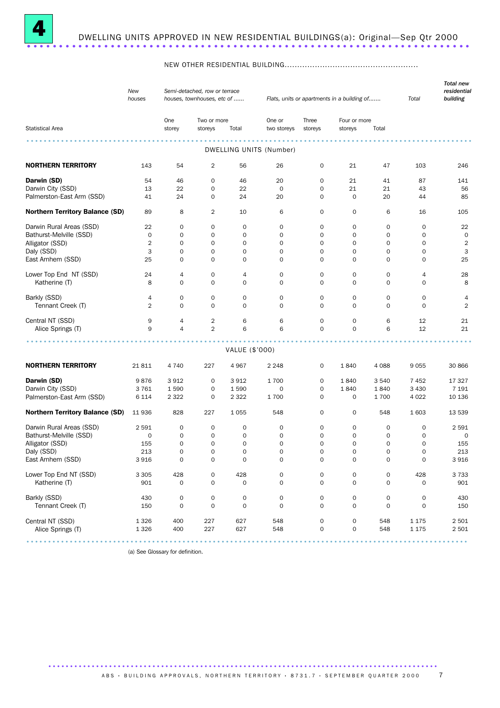

#### NEW OTHER RESIDENTIAL BUILDING.....................................................

|                                        | New<br>Semi-detached, row or terrace<br>houses<br>houses, townhouses, etc of |                     |                     |                     |                         |                     | Flats, units or apartments in a building of |                     | Total               | <b>Total new</b><br>residential<br>building |
|----------------------------------------|------------------------------------------------------------------------------|---------------------|---------------------|---------------------|-------------------------|---------------------|---------------------------------------------|---------------------|---------------------|---------------------------------------------|
|                                        |                                                                              | One                 | Two or more         |                     | One or                  | Three               | Four or more                                |                     |                     |                                             |
| <b>Statistical Area</b>                |                                                                              | storey              | storeys             | Total               | two storeys             | storeys             | storeys                                     | Total               |                     |                                             |
|                                        |                                                                              |                     |                     |                     |                         |                     |                                             |                     |                     |                                             |
|                                        |                                                                              |                     |                     |                     | DWELLING UNITS (Number) |                     |                                             |                     |                     |                                             |
| <b>NORTHERN TERRITORY</b>              | 143                                                                          | 54                  | 2                   | 56                  | 26                      | $\mathbf 0$         | 21                                          | 47                  | 103                 | 246                                         |
| Darwin (SD)                            | 54                                                                           | 46                  | 0                   | 46                  | 20                      | 0                   | 21                                          | 41                  | 87                  | 141                                         |
| Darwin City (SSD)                      | 13                                                                           | 22                  | $\mathbf 0$         | 22                  | $\mathbf 0$             | $\mathbf 0$         | 21                                          | 21                  | 43                  | 56                                          |
| Palmerston-East Arm (SSD)              | 41                                                                           | 24                  | 0                   | 24                  | 20                      | $\mathbf 0$         | 0                                           | 20                  | 44                  | 85                                          |
| <b>Northern Territory Balance (SD)</b> | 89                                                                           | 8                   | 2                   | 10                  | 6                       | 0                   | 0                                           | 6                   | 16                  | 105                                         |
| Darwin Rural Areas (SSD)               | 22                                                                           | 0                   | $\mathbf 0$         | 0                   | $\mathbf 0$             | $\mathbf 0$         | $\mathbf 0$                                 | $\mathbf 0$         | $\mathbf 0$         | 22                                          |
| Bathurst-Melville (SSD)                | 0                                                                            | 0                   | $\mathbf 0$         | 0                   | $\mathbf 0$             | $\mathbf 0$         | 0                                           | $\mathbf 0$         | 0                   | $\mathbf 0$                                 |
|                                        | $\overline{2}$                                                               |                     | $\mathbf 0$         |                     |                         |                     | $\mathbf 0$                                 | 0                   |                     |                                             |
| Alligator (SSD)                        |                                                                              | 0                   | $\mathbf 0$         | 0                   | 0                       | 0                   |                                             |                     | 0                   | $\overline{2}$                              |
| Daly (SSD)                             | 3                                                                            | $\mathbf 0$         |                     | 0                   | $\mathbf 0$             | $\mathbf 0$         | $\mathbf 0$                                 | 0                   | 0                   | 3                                           |
| East Arnhem (SSD)                      | 25                                                                           | 0                   | $\mathbf 0$         | 0                   | $\mathbf 0$             | $\mathbf 0$         | $\mathbf 0$                                 | $\mathbf 0$         | 0                   | 25                                          |
| Lower Top End NT (SSD)                 | 24                                                                           | 4                   | $\mathbf 0$         | 4                   | 0                       | $\mathbf 0$         | 0                                           | 0                   | 4                   | 28                                          |
| Katherine (T)                          | 8                                                                            | 0                   | $\mathbf 0$         | $\mathbf 0$         | $\mathbf 0$             | $\mathbf 0$         | $\mathbf 0$                                 | $\mathbf 0$         | $\mathbf 0$         | 8                                           |
| Barkly (SSD)                           | 4                                                                            | 0                   | $\mathbf 0$         | 0                   | 0                       | $\mathbf 0$         | $\mathbf 0$                                 | $\mathbf 0$         | $\mathbf 0$         | 4                                           |
| Tennant Creek (T)                      | 2                                                                            | 0                   | $\Omega$            | 0                   | 0                       | $\mathbf 0$         | $\mathbf 0$                                 | 0                   | 0                   | $\overline{2}$                              |
|                                        |                                                                              |                     |                     |                     |                         |                     |                                             |                     |                     |                                             |
| Central NT (SSD)                       | 9                                                                            | 4                   | 2                   | 6                   | 6                       | 0                   | 0                                           | 6                   | 12                  | 21                                          |
| Alice Springs (T)                      | 9                                                                            | 4                   | $\overline{2}$      | 6                   | 6                       | $\mathbf 0$         | $\mathbf 0$                                 | 6                   | 12                  | 21                                          |
|                                        |                                                                              |                     |                     |                     |                         |                     |                                             |                     |                     |                                             |
|                                        |                                                                              |                     |                     | VALUE (\$'000)      |                         |                     |                                             |                     |                     |                                             |
| <b>NORTHERN TERRITORY</b>              | 21811                                                                        | 4 7 4 0             | 227                 | 4967                | 2 2 4 8                 | $\mathbf 0$         | 1840                                        | 4 0 8 8             | 9055                | 30 866                                      |
| Darwin (SD)                            | 9876                                                                         | 3912                | 0                   | 3912                | 1700                    | $\mathbf 0$         | 1840                                        | 3 5 4 0             | 7452                | 17 327                                      |
| Darwin City (SSD)                      | 3761                                                                         | 1590                | 0                   | 1590                | 0                       | 0                   | 1840                                        | 1840                | 3 4 3 0             | 7 1 9 1                                     |
| Palmerston-East Arm (SSD)              | 6 1 1 4                                                                      | 2 3 2 2             | $\mathbf 0$         | 2 3 2 2             | 1700                    | $\mathbf 0$         | 0                                           | 1700                | 4 0 2 2             | 10 136                                      |
| <b>Northern Territory Balance (SD)</b> | 11 936                                                                       | 828                 | 227                 | 1055                | 548                     | 0                   | 0                                           | 548                 | 1 603               | 13 539                                      |
| Darwin Rural Areas (SSD)               | 2 5 9 1                                                                      | 0                   | $\mathbf 0$         | 0                   | 0                       | 0                   | 0                                           | 0                   | 0                   | 2 5 9 1                                     |
| Bathurst-Melville (SSD)                | 0                                                                            | 0                   | 0                   | 0                   | 0                       | 0                   | $\mathbf 0$                                 | 0                   | 0                   | 0                                           |
| Alligator (SSD)                        | 155                                                                          | 0                   | $\mathbf 0$         | 0                   | $\mathbf 0$             | $\mathbf 0$         | $\mathbf 0$                                 | 0                   | 0                   | 155                                         |
| Daly (SSD)                             | 213                                                                          | 0                   | $\mathbf 0$         | 0                   | 0                       | $\mathbf 0$         | $\mathbf 0$                                 | $\mathbf 0$         | 0                   | 213                                         |
| East Arnhem (SSD)                      |                                                                              |                     | 0                   | 0                   | 0                       | 0                   | 0                                           |                     |                     | 3 9 1 6                                     |
|                                        | 3 9 1 6                                                                      |                     |                     |                     |                         |                     |                                             |                     |                     |                                             |
| Lower Top End NT (SSD)                 | 3 3 0 5                                                                      | 428                 | $\mathsf{O}\xspace$ | 428                 | 0                       | $\mathsf{O}\xspace$ | $\mathsf{O}\xspace$                         | $\mathsf{O}\xspace$ | 428                 | 3 7 3 3                                     |
| Katherine (T)                          | 901                                                                          | 0                   | $\mathbf 0$         | 0                   | 0                       | $\mathbf 0$         | 0                                           | $\mathbf 0$         | $\mathsf{O}\xspace$ | 901                                         |
| Barkly (SSD)                           | 430                                                                          | $\mathsf{O}\xspace$ | $\mathsf{O}\xspace$ | $\mathsf{O}\xspace$ | $\mathsf{O}\xspace$     | $\mathsf{O}\xspace$ | 0                                           | $\mathsf{O}\xspace$ | $\mathsf{O}\xspace$ | 430                                         |
| Tennant Creek (T)                      | 150                                                                          | $\mathsf{O}\xspace$ | $\mathbf 0$         | $\mathsf{O}\xspace$ | $\mathsf{O}\xspace$     | $\mathbf 0$         | $\mathbf 0$                                 | $\mathbf 0$         | $\mathbf 0$         | 150                                         |
|                                        |                                                                              |                     |                     |                     |                         |                     |                                             |                     |                     |                                             |
| Central NT (SSD)                       | 1 3 2 6                                                                      | 400                 | 227                 | 627                 | 548                     | $\mathsf{O}\xspace$ | 0                                           | 548                 | 1 1 7 5             | 2 5 0 1                                     |
| Alice Springs (T)                      | 1 3 2 6                                                                      | 400                 | 227                 | 627                 | 548                     | $\mathsf{O}\xspace$ | $\mathsf{O}\xspace$                         | 548                 | 1 1 7 5             | 2 5 0 1                                     |
|                                        |                                                                              |                     |                     |                     |                         |                     |                                             |                     |                     |                                             |
|                                        |                                                                              |                     |                     |                     |                         |                     |                                             |                     |                     |                                             |

(a) See Glossary for definition.

ABS · BUILDING APPROVALS, NORTHERN TERRITORY · 8731.7 · SEPTEMBER QUARTER 2000 7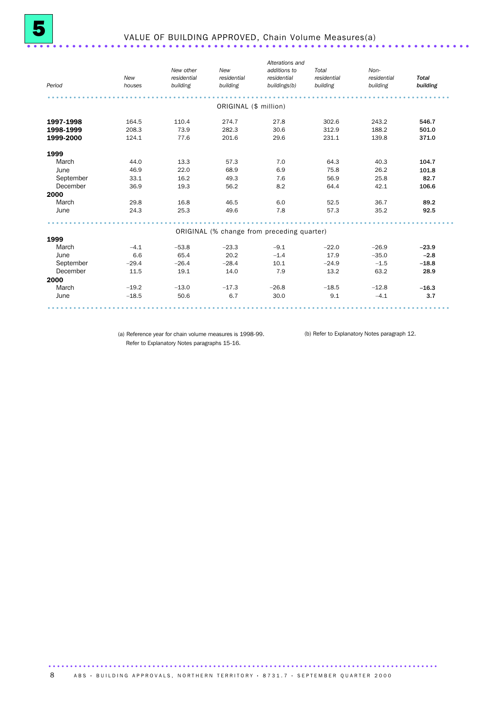| Period    | New<br>houses | New other<br>residential<br>building | New<br>residential<br>building | Alterations and<br>additions to<br>residential<br>buildings(b) | Total<br>residential<br>building | Non-<br>residential<br>building | <b>Total</b><br>building |
|-----------|---------------|--------------------------------------|--------------------------------|----------------------------------------------------------------|----------------------------------|---------------------------------|--------------------------|
|           |               |                                      | ORIGINAL (\$ million)          |                                                                |                                  |                                 |                          |
| 1997-1998 | 164.5         | 110.4                                | 274.7                          | 27.8                                                           | 302.6                            | 243.2                           | 546.7                    |
| 1998-1999 | 208.3         | 73.9                                 | 282.3                          | 30.6                                                           | 312.9                            | 188.2                           | 501.0                    |
| 1999-2000 | 124.1         | 77.6                                 | 201.6                          | 29.6                                                           | 231.1                            | 139.8                           | 371.0                    |
| 1999      |               |                                      |                                |                                                                |                                  |                                 |                          |
| March     | 44.0          | 13.3                                 | 57.3                           | 7.0                                                            | 64.3                             | 40.3                            | 104.7                    |
| June      | 46.9          | 22.0                                 | 68.9                           | 6.9                                                            | 75.8                             | 26.2                            | 101.8                    |
| September | 33.1          | 16.2                                 | 49.3                           | 7.6                                                            | 56.9                             | 25.8                            | 82.7                     |
| December  | 36.9          | 19.3                                 | 56.2                           | 8.2                                                            | 64.4                             | 42.1                            | 106.6                    |
| 2000      |               |                                      |                                |                                                                |                                  |                                 |                          |
| March     | 29.8          | 16.8                                 | 46.5                           | 6.0                                                            | 52.5                             | 36.7                            | 89.2                     |
| June      | 24.3          | 25.3                                 | 49.6                           | 7.8                                                            | 57.3                             | 35.2                            | 92.5                     |
|           |               |                                      |                                | ORIGINAL (% change from preceding quarter)                     |                                  |                                 |                          |
| 1999      |               |                                      |                                |                                                                |                                  |                                 |                          |
| March     | $-4.1$        | $-53.8$                              | $-23.3$                        | $-9.1$                                                         | $-22.0$                          | $-26.9$                         | $-23.9$                  |
| June      | 6.6           | 65.4                                 | 20.2                           | $-1.4$                                                         | 17.9                             | $-35.0$                         | $-2.8$                   |
| September | $-29.4$       | $-26.4$                              | $-28.4$                        | 10.1                                                           | $-24.9$                          | $-1.5$                          | $-18.8$                  |
| December  | 11.5          | 19.1                                 | 14.0                           | 7.9                                                            | 13.2                             | 63.2                            | 28.9                     |
| 2000      |               |                                      |                                |                                                                |                                  |                                 |                          |
| March     | $-19.2$       | $-13.0$                              | $-17.3$                        | $-26.8$                                                        | $-18.5$                          | $-12.8$                         | $-16.3$                  |
| June      | $-18.5$       | 50.6                                 | 6.7                            | 30.0                                                           | 9.1                              | $-4.1$                          | 3.7                      |
|           |               |                                      |                                |                                                                |                                  |                                 |                          |

(a) Reference year for chain volume measures is 1998-99. (b) Refer to Explanatory Notes paragraph 12.Refer to Explanatory Notes paragraphs 15-16.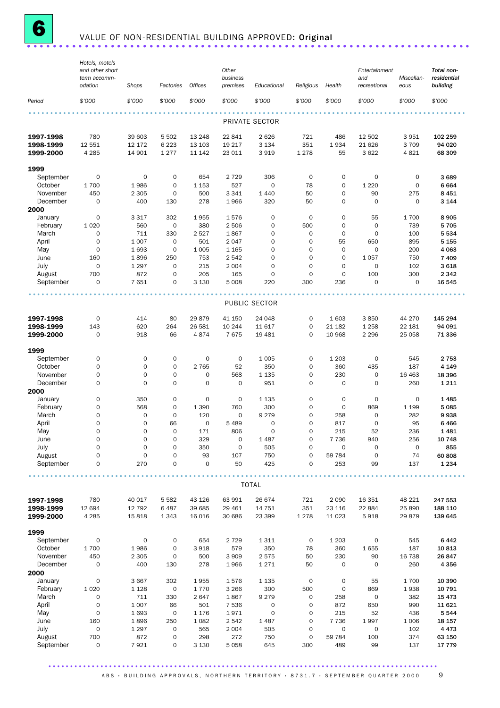

# **6** VALUE OF NON-RESIDENTIAL BUILDING APPROVED: Original .......................

|                   | Hotels, motels<br>and other short |                |                     |                | Other               |                     |             |                     | Entertainment |             | Total non-         |
|-------------------|-----------------------------------|----------------|---------------------|----------------|---------------------|---------------------|-------------|---------------------|---------------|-------------|--------------------|
|                   | term accomm-                      |                |                     |                | business            |                     |             |                     | and           | Miscellan-  | residential        |
|                   | odation                           | Shops          | Factories           | <b>Offices</b> | premises            | Educational         | Religious   | Health              | recreational  | eous        | building           |
| Period            | \$'000                            | \$'000         | \$'000              | \$'000         | \$'000              | \$'000              | \$'000      | \$'000              | \$'000        | \$'000      | \$'000             |
|                   |                                   |                |                     |                |                     |                     |             |                     |               |             |                    |
|                   |                                   |                |                     |                |                     | PRIVATE SECTOR      |             |                     |               |             |                    |
| 1997-1998         | 780                               | 39 603         | 5 5 0 2             | 13 248         | 22 841              | 2626                | 721         | 486                 | 12 502        | 3 9 5 1     | 102 259            |
| 1998-1999         | 12 551                            | 12 172         | 6 2 2 3             | 13 103         | 19 217              | 3 1 3 4             | 351         | 1934                | 21 6 26       | 3709        | 94 020             |
| 1999-2000         | 4 2 8 5                           | 14 901         | 1 2 7 7             | 11 142         | 23 011              | 3919                | 1 2 7 8     | 55                  | 3622          | 4821        | 68 309             |
| 1999              |                                   |                |                     |                |                     |                     |             |                     |               |             |                    |
| September         | 0                                 | 0              | 0                   | 654            | 2 7 2 9             | 306                 | $\mathbf 0$ | $\mathbf 0$         | $\mathbf 0$   | 0           | 3689               |
| October           | 1700                              | 1986           | $\mathbf 0$         | 1 1 5 3        | 527                 | 0                   | 78          | $\mathbf 0$         | 1 2 2 0       | $\mathbf 0$ | 6664               |
| November          | 450                               | 2 3 0 5        | $\mathbf 0$         | 500            | 3 3 4 1             | 1 4 4 0             | 50          | $\mathbf 0$         | 90            | 275         | 8 4 5 1            |
| December          | $\mathbf 0$                       | 400            | 130                 | 278            | 1966                | 320                 | 50          | $\mathbf 0$         | $\mathbf 0$   | $\mathbf 0$ | 3 1 4 4            |
| 2000<br>January   |                                   |                | 302                 | 1955           | 1576                | 0                   | 0           | $\mathbf 0$         | 55            | 1700        | 8905               |
|                   | 0<br>1 0 2 0                      | 3 3 1 7<br>560 | $\mathbf 0$         | 380            | 2 5 0 6             | 0                   | 500         | $\mathbf 0$         | $\mathbf 0$   | 739         | 5705               |
| February<br>March | $\mathbf 0$                       | 711            |                     |                |                     | 0                   | 0           | $\mathbf 0$         | $\mathbf 0$   | 100         |                    |
|                   | $\mathbf 0$                       |                | 330<br>$\mathbf 0$  | 2 5 2 7<br>501 | 1867<br>2 0 4 7     | 0                   | 0           | 55                  | 650           |             | 5 5 3 4<br>5 1 5 5 |
| April             | $\circ$                           | 1 0 0 7        | $\mathbf 0$         |                |                     | 0                   | $\mathbf 0$ | $\mathbf 0$         | $\mathbf 0$   | 895         | 4 0 63             |
| May               |                                   | 1693           |                     | 1 0 0 5        | 1 1 6 5             |                     |             |                     |               | 200         |                    |
| June              | 160                               | 1896           | 250                 | 753            | 2 5 4 2             | 0                   | 0           | 0                   | 1057          | 750         | 7 4 0 9            |
| July              | $\mathbf 0$                       | 1 2 9 7        | $\mathbf 0$         | 215            | 2 0 0 4             | $\mathbf 0$         | 0           | $\mathbf 0$         | $\mathbf 0$   | 102         | 3 6 18             |
| August            | 700                               | 872            | $\mathbf 0$         | 205            | 165                 | 0                   | 0           | $\mathbf 0$         | 100           | 300         | 2 3 4 2            |
| September         | $\mathbf 0$                       | 7651           | $\mathbf 0$         | 3 1 3 0        | 5 0 0 8             | 220                 | 300         | 236                 | $\mathbf 0$   | $\mathbf 0$ | 16 545             |
|                   |                                   |                |                     |                |                     | PUBLIC SECTOR       |             |                     |               |             |                    |
|                   | $\mathbf 0$                       |                | 80                  | 29879          |                     |                     |             | 1 603               |               |             | 145 294            |
| 1997-1998         |                                   | 414            |                     |                | 41 150              | 24 048              | 0           |                     | 3850          | 44 270      |                    |
| 1998-1999         | 143                               | 620            | 264                 | 26 581         | 10 244              | 11 617              | 0           | 21 182              | 1 2 5 8       | 22 181      | 94 091             |
| 1999-2000         | $\mathbf 0$                       | 918            | 66                  | 4874           | 7675                | 19 4 81             | $\mathbf 0$ | 10 968              | 2 2 9 6       | 25 058      | 71 336             |
| 1999              |                                   |                |                     |                |                     |                     |             |                     |               |             |                    |
| September         | $\mathbf 0$                       | 0              | 0                   | 0              | 0                   | 1 0 0 5             | 0           | 1 2 0 3             | $\mathbf 0$   | 545         | 2 7 5 3            |
| October           | $\mathbf 0$                       | $\mathbf 0$    | $\mathsf{O}\xspace$ | 2 7 6 5        | 52                  | 350                 | 0           | 360                 | 435           | 187         | 4 1 4 9            |
| November          | 0                                 | $\mathbf 0$    | $\mathsf{O}\xspace$ | $\mathbf 0$    | 568                 | 1 1 3 5             | 0           | 230                 | $\mathbf 0$   | 16 4 63     | 18 396             |
| December          | $\mathbf 0$                       | $\mathbf 0$    | 0                   | $\mathbf 0$    | $\mathbf 0$         | 951                 | 0           | $\mathbf 0$         | $\mathbf 0$   | 260         | 1 2 1 1            |
| 2000              |                                   |                |                     |                |                     |                     |             |                     |               |             |                    |
| January           | 0                                 | 350            | 0                   | $\mathbf 0$    | $\mathbf 0$         | 1 1 3 5             | 0           | 0                   | $\mathbf 0$   | 0           | 1485               |
| February          | $\mathbf 0$                       | 568            | $\mathbf 0$         | 1 3 9 0        | 760                 | 300                 | 0           | $\mathbf 0$         | 869           | 1 1 9 9     | 5 0 8 5            |
| March             | $\mathbf 0$                       | 0              | $\mathbf 0$         | 120            | 0                   | 9 2 7 9             | 0           | 258                 | $\mathbf 0$   | 282         | 9938               |
| April             | 0                                 | 0              | 66                  | $\mathbf 0$    | 5 4 8 9             | $\mathbf 0$         | 0           | 817                 | $\mathbf 0$   | 95          | 6466               |
| May               | $\mathbf 0$                       | $\mathbf 0$    | $\mathbf 0$         | 171            | 806                 | $\mathbf 0$         | 0           | 215                 | 52            | 236         | 1481               |
| June              | 0                                 | 0              | 0                   | 329            | O                   | 1 4 8 7             | 0           | 7 7 3 6             | 940           | 256         | 10 748             |
| July              | $\mathbf 0$                       | $\mathbf 0$    | $\mathbf 0$         | 350            | $\mathsf{O}\xspace$ | 505                 | 0           | 0                   | $\mathbf 0$   | $\mathbf 0$ | 855                |
| August            | $\mathbf 0$                       | $\mathbf 0$    | $\mathsf{O}\xspace$ | 93             | 107                 | 750                 | 0           | 59 784              | $\mathbf 0$   | 74          | 60 808             |
| September         | 0                                 | 270            | $\mathsf{O}\xspace$ | $\mathbf 0$    | 50                  | 425                 | 0           | 253                 | 99            | 137         | 1 2 3 4            |
|                   |                                   |                |                     |                |                     |                     |             |                     |               |             |                    |
|                   |                                   |                |                     |                |                     | <b>TOTAL</b>        |             |                     |               |             |                    |
| 1997-1998         | 780                               | 40 017         | 5 5 8 2             | 43 126         | 63 991              | 26 674              | 721         | 2 0 9 0             | 16 351        | 48 221      | 247 553            |
| 1998-1999         | 12 694                            | 12 792         | 6487                | 39 685         | 29 4 61             | 14 751              | 351         | 23 116              | 22 884        | 25 890      | 188 110            |
| 1999-2000         | 4 2 8 5                           | 15818          | 1 3 4 3             | 16 016         | 30 686              | 23 399              | 1 2 7 8     | 11 0 23             | 5918          | 29879       | 139 645            |
| 1999              |                                   |                |                     |                |                     |                     |             |                     |               |             |                    |
| September         | $\pmb{0}$                         | 0              | 0                   | 654            | 2 7 2 9             | 1311                | $\mathbf 0$ | 1 2 0 3             | $\mathbf 0$   | 545         | 6442               |
| October           | 1700                              | 1986           | $\mathsf{O}\xspace$ | 3918           | 579                 | 350                 | 78          | 360                 | 1655          | 187         | 10 813             |
| November          | 450                               | 2 3 0 5        | 0                   | 500            | 3 9 0 9             | 2575                | 50          | 230                 | 90            | 16 738      | 26 847             |
| December          | $\mathsf{O}\xspace$               | 400            | 130                 | 278            | 1966                | 1 2 7 1             | 50          | 0                   | $\mathbf 0$   | 260         | 4 3 5 6            |
| 2000              |                                   |                |                     |                |                     |                     |             |                     |               |             |                    |
| January           | 0                                 | 3 6 6 7        | 302                 | 1955           | 1576                | 1 1 3 5             | $\mathsf O$ | 0                   | 55            | 1700        | 10 390             |
| February          | 1 0 2 0                           | 1 1 2 8        | 0                   | 1770           | 3 2 6 6             | 300                 | 500         | 0                   | 869           | 1938        | 10 791             |
| March             | 0                                 | 711            | 330                 | 2647           | 1867                | 9 2 7 9             | 0           | 258                 | $\mathbf 0$   | 382         | 15 4 73            |
| April             | $\mathbf 0$                       | 1 0 0 7        | 66                  | 501            | 7 5 3 6             | 0                   | 0           | 872                 | 650           | 990         | 11 621             |
| May               | $\mathbf 0$                       | 1693           | $\mathsf{O}\xspace$ | 1 1 7 6        | 1971                | $\mathsf{O}\xspace$ | 0           | 215                 | 52            | 436         | 5 5 4 4            |
| June              | 160                               | 1896           | 250                 | 1 0 8 2        | 2 5 4 2             | 1 4 8 7             | 0           | 7 7 3 6             | 1997          | 1 0 0 6     | 18 157             |
| July              | $\mathbf 0$                       | 1 2 9 7        | $\mathsf{O}\xspace$ | 565            | 2 0 0 4             | 505                 | 0           | $\mathsf{O}\xspace$ | $\mathbf 0$   | 102         | 4 4 7 3            |
| August            | 700                               | 872            | 0                   | 298            | 272                 | 750                 | 0           | 59 784              | 100           | 374         | 63 150             |
| September         | 0                                 | 7921           | 0                   | 3 1 3 0        | 5 0 5 8             | 645                 | 300         | 489                 | 99            | 137         | 17 779             |
|                   |                                   |                |                     |                |                     |                     |             |                     |               |             |                    |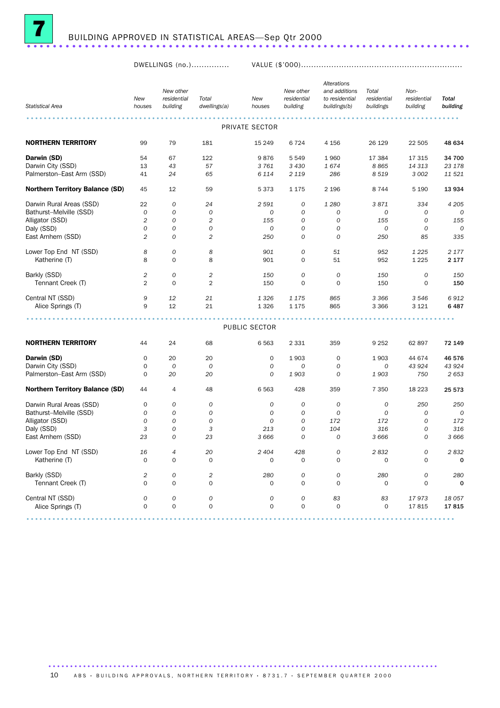

DWELLINGS (no.)............... VALUE (\$'000)................................................................

|                                        |                | New other      |                         |                  | New other      | Alterations<br>and additions | Total       | Non-          |                                                                                                                 |
|----------------------------------------|----------------|----------------|-------------------------|------------------|----------------|------------------------------|-------------|---------------|-----------------------------------------------------------------------------------------------------------------|
|                                        | New            | residential    | Total                   | New              | residential    | to residential               | residential | residential   | Total                                                                                                           |
| <b>Statistical Area</b>                | houses         | building       | dwellings(a)            | houses           | building       | buildings(b)                 | buildings   | building      | building                                                                                                        |
|                                        |                |                |                         | PRIVATE SECTOR   |                |                              |             |               | $\begin{array}{cccccccccccccc} \bullet & \bullet & \bullet & \bullet & \bullet & \bullet & \bullet \end{array}$ |
|                                        |                |                |                         |                  |                |                              |             |               |                                                                                                                 |
| <b>NORTHERN TERRITORY</b>              | 99             | 79             | 181                     | 15 249           | 6724           | 4 1 5 6                      | 26 129      | 22 505        | 48 634                                                                                                          |
| Darwin (SD)                            | 54             | 67             | 122                     | 9876             | 5549           | 1960                         | 17 384      | 17 315        | 34 700                                                                                                          |
| Darwin City (SSD)                      | 13             | 43             | 57                      | 3761             | 3 4 3 0        | 1674                         | 8865        | 14 313        | 23 178                                                                                                          |
| Palmerston-East Arm (SSD)              | 41             | 24             | 65                      | 6 1 1 4          | 2 1 1 9        | 286                          | 8519        | 3 0 0 2       | 11 521                                                                                                          |
| <b>Northern Territory Balance (SD)</b> | 45             | 12             | 59                      | 5 3 7 3          | 1 1 7 5        | 2 1 9 6                      | 8 7 4 4     | 5 1 9 0       | 13 934                                                                                                          |
| Darwin Rural Areas (SSD)               | 22             | 0              | 24                      | 2 5 9 1          | 0              | 1 2 8 0                      | 3871        | 334           | 4 2 0 5                                                                                                         |
| Bathurst-Melville (SSD)                | 0              | 0              | 0                       | 0                | 0              | 0                            | 0           | 0             | 0                                                                                                               |
| Alligator (SSD)                        | 2              | 0              | 2                       | 155              | 0              | 0                            | 155         | 0             | 155                                                                                                             |
| Daly (SSD)                             | 0              | 0              | 0                       | $\boldsymbol{O}$ | $\mathcal{O}$  | 0                            | 0           | $\mathcal{O}$ | $\overline{O}$                                                                                                  |
| East Arnhem (SSD)                      | $\overline{2}$ | 0              | $\overline{2}$          | 250              | 0              | $\mathcal{O}$                | 250         | 85            | 335                                                                                                             |
| Lower Top End NT (SSD)                 | 8              | 0              | 8                       | 901              | 0              | 51                           | 952         | 1 2 2 5       | 2 1 7 7                                                                                                         |
| Katherine (T)                          | 8              | $\mathsf{O}$   | 8                       | 901              | $\mathbf 0$    | 51                           | 952         | 1 2 2 5       | 2 177                                                                                                           |
| Barkly (SSD)                           | 2              | 0              | $\overline{\mathbf{c}}$ | 150              | $\overline{O}$ | 0                            | 150         | 0             | 150                                                                                                             |
| Tennant Creek (T)                      | $\overline{2}$ | $\mathbf 0$    | $\overline{2}$          | 150              | $\mathbf 0$    | $\mathbf 0$                  | 150         | 0             | 150                                                                                                             |
|                                        |                |                |                         |                  |                |                              |             |               |                                                                                                                 |
| Central NT (SSD)                       | 9              | 12             | 21                      | 1 3 2 6          | 1 1 7 5        | 865                          | 3 3 6 6     | 3 5 4 6       | 6912<br>6487                                                                                                    |
| Alice Springs (T)                      | 9              | 12             | 21                      | 1 3 2 6          | 1 1 7 5        | 865                          | 3 3 6 6     | 3 1 2 1       |                                                                                                                 |
|                                        |                |                |                         | PUBLIC SECTOR    |                |                              |             |               |                                                                                                                 |
|                                        |                |                |                         |                  |                |                              |             |               |                                                                                                                 |
| <b>NORTHERN TERRITORY</b>              | 44             | 24             | 68                      | 6 5 6 3          | 2 3 3 1        | 359                          | 9 2 5 2     | 62 897        | 72 149                                                                                                          |
| Darwin (SD)                            | 0              | 20             | 20                      | 0                | 1903           | $\mathbf 0$                  | 1903        | 44 674        | 46 576                                                                                                          |
| Darwin City (SSD)                      | 0              | 0              | 0                       | 0                | 0              | $\mathcal{O}$                | 0           | 43 9 24       | 43 924                                                                                                          |
| Palmerston-East Arm (SSD)              | 0              | 20             | 20                      | 0                | 1903           | 0                            | 1903        | 750           | 2653                                                                                                            |
| <b>Northern Territory Balance (SD)</b> | 44             | 4              | 48                      | 6 5 6 3          | 428            | 359                          | 7 3 5 0     | 18 2 23       | 25 573                                                                                                          |
| Darwin Rural Areas (SSD)               | 0              | 0              | 0                       | 0                | $\mathcal{O}$  | 0                            | 0           | 250           | 250                                                                                                             |
| Bathurst-Melville (SSD)                | 0              | 0              | 0                       | 0                | $\mathcal{O}$  | 0                            | 0           | $\mathcal{O}$ | 0                                                                                                               |
| Alligator (SSD)                        | 0              | 0              | 0                       | 0                | 0              | 172                          | 172         | 0             | 172                                                                                                             |
| Daly (SSD)                             | 3              | 0              | 3                       | 213              | $\overline{O}$ | 104                          | 316         | 0             | 316                                                                                                             |
| East Arnhem (SSD)                      | 23             | 0              | 23                      | 3 6 6 6          | 0              | 0                            | 3 6 6 6     | 0             | 3666                                                                                                            |
| Lower Top End NT (SSD)                 | 16             | $\overline{4}$ | 20                      | 2 4 0 4          | 428            | 0                            | 2832        | 0             | 2832                                                                                                            |
| Katherine (I)                          | 0              | 0              | 0                       | 0                | 0              | 0                            | 0           | 0             |                                                                                                                 |
|                                        |                |                |                         |                  |                |                              |             |               |                                                                                                                 |
| Barkly (SSD)                           | 2              | 0              | $\sqrt{2}$              | 280              | 0              | 0                            | 280         | 0             | 280                                                                                                             |
| Tennant Creek (T)                      | $\Omega$       | 0              | $\mathbf 0$             | 0                | $\mathbf 0$    | $\mathbf 0$                  | 0           | $\mathbf 0$   | $\mathbf 0$                                                                                                     |
| Central NT (SSD)                       | 0              | 0              | 0                       | 0                | $\cal O$       | 83                           | 83          | 17973         | 18 057                                                                                                          |
| Alice Springs (T)                      | $\mathbf 0$    | 0              | 0                       | 0                | $\mathbf 0$    | $\mathsf O$                  | $\mathbf 0$ | 17815         | 17815                                                                                                           |
|                                        |                |                |                         |                  |                |                              |             |               |                                                                                                                 |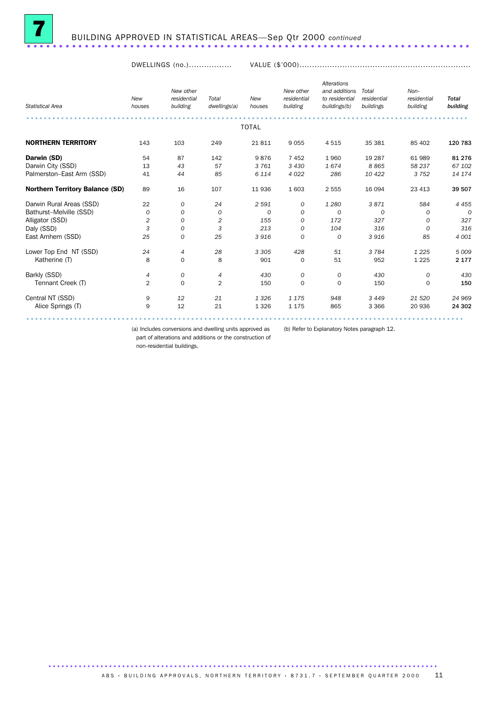

DWELLINGS (no.)................. VALUE (\$'000)....................................................................

| <b>Statistical Area</b>                | New<br>houses | New other<br>residential<br>building | Total<br>dwellings(a) | New<br>houses | New other<br>residential<br>building | <b>Alterations</b><br>and additions<br>to residential<br>buildings(b) | Total<br>residential<br>buildings | Non-<br>residential<br>building | <b>Total</b><br>building |
|----------------------------------------|---------------|--------------------------------------|-----------------------|---------------|--------------------------------------|-----------------------------------------------------------------------|-----------------------------------|---------------------------------|--------------------------|
|                                        |               |                                      |                       | <b>TOTAL</b>  |                                      |                                                                       |                                   |                                 |                          |
| <b>NORTHERN TERRITORY</b>              | 143           | 103                                  | 249                   | 21811         | 9055                                 | 4515                                                                  | 35 381                            | 85 402                          | 120 783                  |
| Darwin (SD)                            | 54            | 87                                   | 142                   | 9876          | 7 4 5 2                              | 1960                                                                  | 19 287                            | 61 989                          | 81 276                   |
| Darwin City (SSD)                      | 13            | 43                                   | 57                    | 3 7 6 1       | 3 4 3 0                              | 1674                                                                  | 8865                              | 58 237                          | 67 102                   |
| Palmerston-East Arm (SSD)              | 41            | 44                                   | 85                    | 6 1 1 4       | 4 0 2 2                              | 286                                                                   | 10 422                            | 3 7 5 2                         | 14 174                   |
| <b>Northern Territory Balance (SD)</b> | 89            | 16                                   | 107                   | 11 936        | 1 603                                | 2 5 5 5                                                               | 16 094                            | 23 413                          | 39 507                   |
| Darwin Rural Areas (SSD)               | 22            | 0                                    | 24                    | 2 5 9 1       | 0                                    | 1 2 8 0                                                               | 3871                              | 584                             | 4 4 5 5                  |
| Bathurst-Melville (SSD)                | 0             | 0                                    | 0                     | $\Omega$      | 0                                    | $\overline{0}$                                                        | $\Omega$                          | 0                               | $\Omega$                 |
| Alligator (SSD)                        | 2             | 0                                    | 2                     | 155           | 0                                    | 172                                                                   | 327                               | 0                               | 327                      |
| Daly (SSD)                             | 3             | 0                                    | 3                     | 213           | 0                                    | 104                                                                   | 316                               | 0                               | 316                      |
| East Arnhem (SSD)                      | 25            | $\mathcal{O}$                        | 25                    | 3916          | $\mathcal{O}$                        | $\Omega$                                                              | 3916                              | 85                              | 4 0 0 1                  |
| Lower Top End NT (SSD)                 | 24            | 4                                    | 28                    | 3 3 0 5       | 428                                  | 51                                                                    | 3 7 8 4                           | 1 2 2 5                         | 5 0 0 9                  |
| Katherine (T)                          | 8             | $\mathbf 0$                          | 8                     | 901           | 0                                    | 51                                                                    | 952                               | 1 2 2 5                         | 2 1 7 7                  |
| Barkly (SSD)                           | 4             | 0                                    | 4                     | 430           | 0                                    | 0                                                                     | 430                               | 0                               | 430                      |
| Tennant Creek (T)                      | 2             | $\mathbf 0$                          | $\overline{2}$        | 150           | $\mathbf 0$                          | $\Omega$                                                              | 150                               | $\Omega$                        | 150                      |
| Central NT (SSD)                       | 9             | 12                                   | 21                    | 1 3 2 6       | 1 1 7 5                              | 948                                                                   | 3 4 4 9                           | 21 5 20                         | 24 969                   |
| Alice Springs (T)                      | 9             | 12                                   | 21                    | 1 3 2 6       | 1 1 7 5                              | 865                                                                   | 3 3 6 6                           | 20 936                          | 24 302                   |
|                                        |               |                                      |                       |               |                                      |                                                                       |                                   |                                 |                          |

(a) Includes conversions and dwelling units approved as (b) Refer to Explanatory Notes paragraph 12. part of alterations and additions or the construction of

non-residential buildings.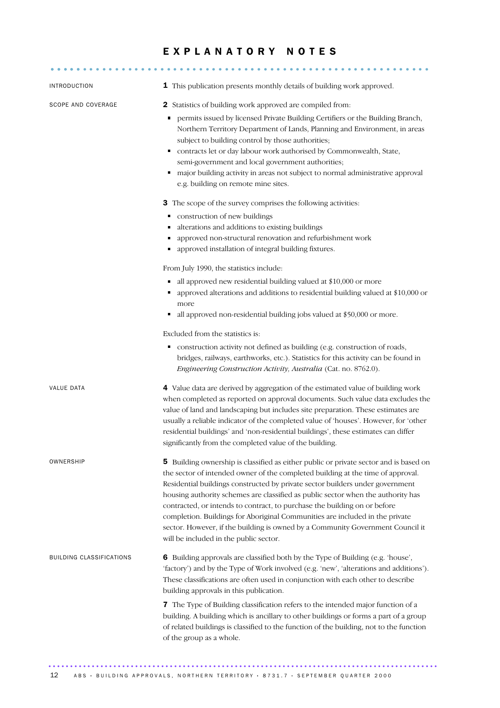## EXPLANATORY NOTES

........................................................... .....

| <b>INTRODUCTION</b>      | 1 This publication presents monthly details of building work approved.                                                                                                                                                                                                                                                                                                                                                                                                                                                                                                                                                                 |
|--------------------------|----------------------------------------------------------------------------------------------------------------------------------------------------------------------------------------------------------------------------------------------------------------------------------------------------------------------------------------------------------------------------------------------------------------------------------------------------------------------------------------------------------------------------------------------------------------------------------------------------------------------------------------|
| SCOPE AND COVERAGE       | 2 Statistics of building work approved are compiled from:<br>permits issued by licensed Private Building Certifiers or the Building Branch,<br>٠<br>Northern Territory Department of Lands, Planning and Environment, in areas<br>subject to building control by those authorities;<br>contracts let or day labour work authorised by Commonwealth, State,<br>semi-government and local government authorities;<br>major building activity in areas not subject to normal administrative approval<br>e.g. building on remote mine sites.                                                                                               |
|                          | 3 The scope of the survey comprises the following activities:<br>construction of new buildings<br>٠<br>alterations and additions to existing buildings<br>٠<br>approved non-structural renovation and refurbishment work<br>• approved installation of integral building fixtures.                                                                                                                                                                                                                                                                                                                                                     |
|                          | From July 1990, the statistics include:<br>all approved new residential building valued at \$10,000 or more<br>approved alterations and additions to residential building valued at \$10,000 or<br>more<br>all approved non-residential building jobs valued at \$50,000 or more.<br>٠                                                                                                                                                                                                                                                                                                                                                 |
|                          | Excluded from the statistics is:<br>construction activity not defined as building (e.g. construction of roads,<br>Е<br>bridges, railways, earthworks, etc.). Statistics for this activity can be found in<br>Engineering Construction Activity, Australia (Cat. no. 8762.0).                                                                                                                                                                                                                                                                                                                                                           |
| <b>VALUE DATA</b>        | 4 Value data are derived by aggregation of the estimated value of building work<br>when completed as reported on approval documents. Such value data excludes the<br>value of land and landscaping but includes site preparation. These estimates are<br>usually a reliable indicator of the completed value of 'houses'. However, for 'other<br>residential buildings' and 'non-residential buildings', these estimates can differ<br>significantly from the completed value of the building.                                                                                                                                         |
| OWNERSHIP                | 5 Building ownership is classified as either public or private sector and is based on<br>the sector of intended owner of the completed building at the time of approval.<br>Residential buildings constructed by private sector builders under government<br>housing authority schemes are classified as public sector when the authority has<br>contracted, or intends to contract, to purchase the building on or before<br>completion. Buildings for Aboriginal Communities are included in the private<br>sector. However, if the building is owned by a Community Government Council it<br>will be included in the public sector. |
| BUILDING CLASSIFICATIONS | 6 Building approvals are classified both by the Type of Building (e.g. 'house',<br>'factory') and by the Type of Work involved (e.g. 'new', 'alterations and additions').<br>These classifications are often used in conjunction with each other to describe<br>building approvals in this publication.                                                                                                                                                                                                                                                                                                                                |
|                          | 7 The Type of Building classification refers to the intended major function of a<br>building. A building which is ancillary to other buildings or forms a part of a group<br>of related buildings is classified to the function of the building, not to the function<br>of the group as a whole.                                                                                                                                                                                                                                                                                                                                       |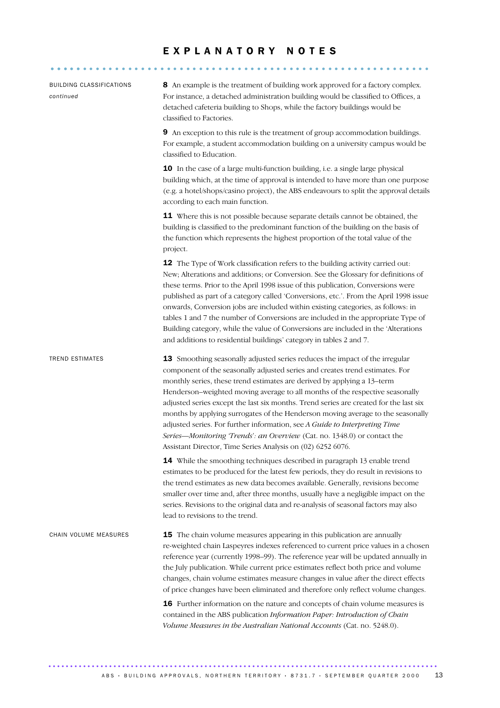## EXPLANATORY NOTES

| <b>BUILDING CLASSIFICATIONS</b><br>continued | 8 An example is the treatment of building work approved for a factory complex.<br>For instance, a detached administration building would be classified to Offices, a<br>detached cafeteria building to Shops, while the factory buildings would be<br>classified to Factories.                                                                                                                                                                                                                                                                                                                                                                                                                                                                                   |
|----------------------------------------------|------------------------------------------------------------------------------------------------------------------------------------------------------------------------------------------------------------------------------------------------------------------------------------------------------------------------------------------------------------------------------------------------------------------------------------------------------------------------------------------------------------------------------------------------------------------------------------------------------------------------------------------------------------------------------------------------------------------------------------------------------------------|
|                                              | 9 An exception to this rule is the treatment of group accommodation buildings.<br>For example, a student accommodation building on a university campus would be<br>classified to Education.                                                                                                                                                                                                                                                                                                                                                                                                                                                                                                                                                                      |
|                                              | 10 In the case of a large multi-function building, i.e. a single large physical<br>building which, at the time of approval is intended to have more than one purpose<br>(e.g. a hotel/shops/casino project), the ABS endeavours to split the approval details<br>according to each main function.                                                                                                                                                                                                                                                                                                                                                                                                                                                                |
|                                              | 11 Where this is not possible because separate details cannot be obtained, the<br>building is classified to the predominant function of the building on the basis of<br>the function which represents the highest proportion of the total value of the<br>project.                                                                                                                                                                                                                                                                                                                                                                                                                                                                                               |
|                                              | 12 The Type of Work classification refers to the building activity carried out:<br>New; Alterations and additions; or Conversion. See the Glossary for definitions of<br>these terms. Prior to the April 1998 issue of this publication, Conversions were<br>published as part of a category called 'Conversions, etc.'. From the April 1998 issue<br>onwards, Conversion jobs are included within existing categories, as follows: in<br>tables 1 and 7 the number of Conversions are included in the appropriate Type of<br>Building category, while the value of Conversions are included in the 'Alterations<br>and additions to residential buildings' category in tables 2 and 7.                                                                          |
| <b>TREND ESTIMATES</b>                       | 13 Smoothing seasonally adjusted series reduces the impact of the irregular<br>component of the seasonally adjusted series and creates trend estimates. For<br>monthly series, these trend estimates are derived by applying a 13-term<br>Henderson-weighted moving average to all months of the respective seasonally<br>adjusted series except the last six months. Trend series are created for the last six<br>months by applying surrogates of the Henderson moving average to the seasonally<br>adjusted series. For further information, see A Guide to Interpreting Time<br>Series-Monitoring 'Trends': an Overview (Cat. no. 1348.0) or contact the<br>Assistant Director, Time Series Analysis on (02) 6252 6076.                                      |
|                                              | <b>14</b> While the smoothing techniques described in paragraph 13 enable trend<br>estimates to be produced for the latest few periods, they do result in revisions to<br>the trend estimates as new data becomes available. Generally, revisions become<br>smaller over time and, after three months, usually have a negligible impact on the<br>series. Revisions to the original data and re-analysis of seasonal factors may also<br>lead to revisions to the trend.                                                                                                                                                                                                                                                                                         |
| CHAIN VOLUME MEASURES                        | <b>15</b> The chain volume measures appearing in this publication are annually<br>re-weighted chain Laspeyres indexes referenced to current price values in a chosen<br>reference year (currently 1998-99). The reference year will be updated annually in<br>the July publication. While current price estimates reflect both price and volume<br>changes, chain volume estimates measure changes in value after the direct effects<br>of price changes have been eliminated and therefore only reflect volume changes.<br>16 Further information on the nature and concepts of chain volume measures is<br>contained in the ABS publication Information Paper: Introduction of Chain<br>Volume Measures in the Australian National Accounts (Cat. no. 5248.0). |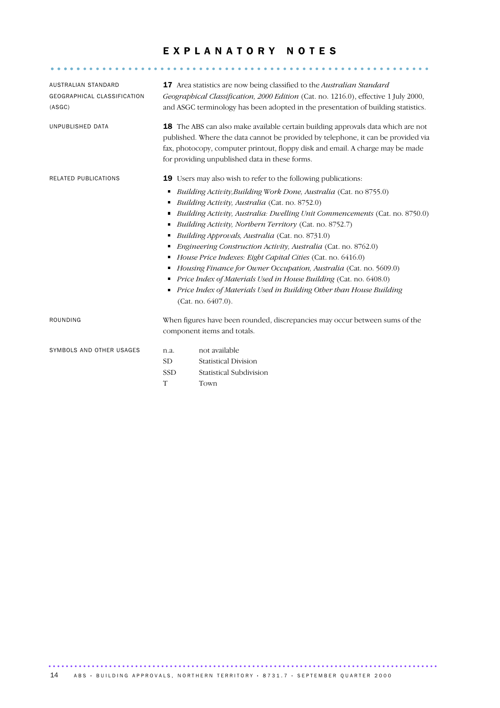# EXPLANATORY NOTES

........................................................... .....

| AUSTRALIAN STANDARD<br>GEOGRAPHICAL CLASSIFICATION<br>(ASGC) |                                                                                                                                                                                                                                                                                                                                                                                                                                                                                                                                                                                                                                                                                                                                                                                                                       | <b>17</b> Area statistics are now being classified to the <i>Australian Standard</i><br>Geographical Classification, 2000 Edition (Cat. no. 1216.0), effective 1 July 2000,<br>and ASGC terminology has been adopted in the presentation of building statistics.                                                 |
|--------------------------------------------------------------|-----------------------------------------------------------------------------------------------------------------------------------------------------------------------------------------------------------------------------------------------------------------------------------------------------------------------------------------------------------------------------------------------------------------------------------------------------------------------------------------------------------------------------------------------------------------------------------------------------------------------------------------------------------------------------------------------------------------------------------------------------------------------------------------------------------------------|------------------------------------------------------------------------------------------------------------------------------------------------------------------------------------------------------------------------------------------------------------------------------------------------------------------|
| UNPUBLISHED DATA                                             |                                                                                                                                                                                                                                                                                                                                                                                                                                                                                                                                                                                                                                                                                                                                                                                                                       | <b>18</b> The ABS can also make available certain building approvals data which are not<br>published. Where the data cannot be provided by telephone, it can be provided via<br>fax, photocopy, computer printout, floppy disk and email. A charge may be made<br>for providing unpublished data in these forms. |
| RELATED PUBLICATIONS                                         | <b>19</b> Users may also wish to refer to the following publications:<br>Building Activity, Building Work Done, Australia (Cat. no 8755.0)<br>٠<br>Building Activity, Australia (Cat. no. 8752.0)<br>п<br>Building Activity, Australia: Dwelling Unit Commencements (Cat. no. 8750.0)<br>٠<br>Building Activity, Northern Territory (Cat. no. 8752.7)<br>٠<br>Building Approvals, Australia (Cat. no. 8731.0)<br>п<br><i>Engineering Construction Activity, Australia (Cat. no. 8762.0)</i><br>٠<br>House Price Indexes: Eight Capital Cities (Cat. no. 6416.0)<br>Housing Finance for Owner Occupation, Australia (Cat. no. 5609.0)<br>п<br>Price Index of Materials Used in House Building (Cat. no. 6408.0)<br>٠<br>Price Index of Materials Used in Building Other than House Building<br>٠<br>(Cat. no. 6407.0). |                                                                                                                                                                                                                                                                                                                  |
| ROUNDING                                                     |                                                                                                                                                                                                                                                                                                                                                                                                                                                                                                                                                                                                                                                                                                                                                                                                                       | When figures have been rounded, discrepancies may occur between sums of the<br>component items and totals.                                                                                                                                                                                                       |
| SYMBOLS AND OTHER USAGES                                     | n.a.<br><b>SD</b><br><b>SSD</b>                                                                                                                                                                                                                                                                                                                                                                                                                                                                                                                                                                                                                                                                                                                                                                                       | not available<br><b>Statistical Division</b><br>Statistical Subdivision                                                                                                                                                                                                                                          |

T Town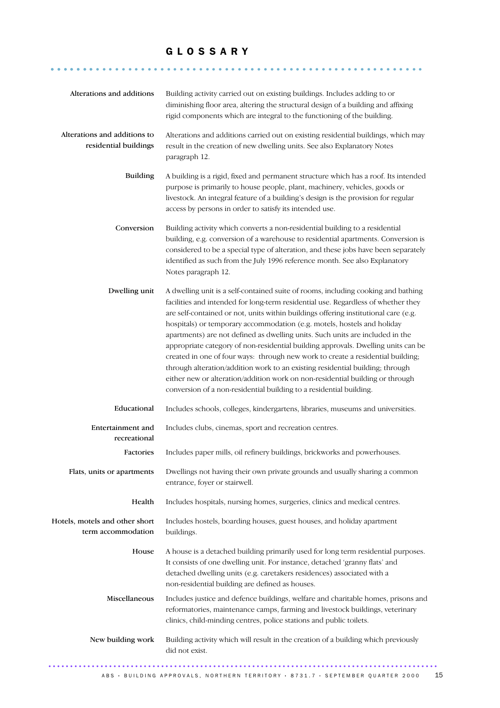## G L O S S A R Y

.......................................................... .......

| Alterations and additions                             | Building activity carried out on existing buildings. Includes adding to or<br>diminishing floor area, altering the structural design of a building and affixing<br>rigid components which are integral to the functioning of the building.                                                                                                                                                                                                                                                                                                                                                                                                                                                                                                                                                                                                 |
|-------------------------------------------------------|--------------------------------------------------------------------------------------------------------------------------------------------------------------------------------------------------------------------------------------------------------------------------------------------------------------------------------------------------------------------------------------------------------------------------------------------------------------------------------------------------------------------------------------------------------------------------------------------------------------------------------------------------------------------------------------------------------------------------------------------------------------------------------------------------------------------------------------------|
| Alterations and additions to<br>residential buildings | Alterations and additions carried out on existing residential buildings, which may<br>result in the creation of new dwelling units. See also Explanatory Notes<br>paragraph 12.                                                                                                                                                                                                                                                                                                                                                                                                                                                                                                                                                                                                                                                            |
| <b>Building</b>                                       | A building is a rigid, fixed and permanent structure which has a roof. Its intended<br>purpose is primarily to house people, plant, machinery, vehicles, goods or<br>livestock. An integral feature of a building's design is the provision for regular<br>access by persons in order to satisfy its intended use.                                                                                                                                                                                                                                                                                                                                                                                                                                                                                                                         |
| Conversion                                            | Building activity which converts a non-residential building to a residential<br>building, e.g. conversion of a warehouse to residential apartments. Conversion is<br>considered to be a special type of alteration, and these jobs have been separately<br>identified as such from the July 1996 reference month. See also Explanatory<br>Notes paragraph 12.                                                                                                                                                                                                                                                                                                                                                                                                                                                                              |
| Dwelling unit                                         | A dwelling unit is a self-contained suite of rooms, including cooking and bathing<br>facilities and intended for long-term residential use. Regardless of whether they<br>are self-contained or not, units within buildings offering institutional care (e.g.<br>hospitals) or temporary accommodation (e.g. motels, hostels and holiday<br>apartments) are not defined as dwelling units. Such units are included in the<br>appropriate category of non-residential building approvals. Dwelling units can be<br>created in one of four ways: through new work to create a residential building;<br>through alteration/addition work to an existing residential building; through<br>either new or alteration/addition work on non-residential building or through<br>conversion of a non-residential building to a residential building. |
| Educational                                           | Includes schools, colleges, kindergartens, libraries, museums and universities.                                                                                                                                                                                                                                                                                                                                                                                                                                                                                                                                                                                                                                                                                                                                                            |
| Entertainment and<br>recreational                     | Includes clubs, cinemas, sport and recreation centres.                                                                                                                                                                                                                                                                                                                                                                                                                                                                                                                                                                                                                                                                                                                                                                                     |
| Factories                                             | Includes paper mills, oil refinery buildings, brickworks and powerhouses.                                                                                                                                                                                                                                                                                                                                                                                                                                                                                                                                                                                                                                                                                                                                                                  |
| Flats, units or apartments                            | Dwellings not having their own private grounds and usually sharing a common<br>entrance, foyer or stairwell.                                                                                                                                                                                                                                                                                                                                                                                                                                                                                                                                                                                                                                                                                                                               |
| Health                                                | Includes hospitals, nursing homes, surgeries, clinics and medical centres.                                                                                                                                                                                                                                                                                                                                                                                                                                                                                                                                                                                                                                                                                                                                                                 |
| Hotels, motels and other short<br>term accommodation  | Includes hostels, boarding houses, guest houses, and holiday apartment<br>buildings.                                                                                                                                                                                                                                                                                                                                                                                                                                                                                                                                                                                                                                                                                                                                                       |
| House                                                 | A house is a detached building primarily used for long term residential purposes.<br>It consists of one dwelling unit. For instance, detached 'granny flats' and<br>detached dwelling units (e.g. caretakers residences) associated with a<br>non-residential building are defined as houses.                                                                                                                                                                                                                                                                                                                                                                                                                                                                                                                                              |
| Miscellaneous                                         | Includes justice and defence buildings, welfare and charitable homes, prisons and<br>reformatories, maintenance camps, farming and livestock buildings, veterinary<br>clinics, child-minding centres, police stations and public toilets.                                                                                                                                                                                                                                                                                                                                                                                                                                                                                                                                                                                                  |
| New building work                                     | Building activity which will result in the creation of a building which previously<br>did not exist.                                                                                                                                                                                                                                                                                                                                                                                                                                                                                                                                                                                                                                                                                                                                       |
|                                                       |                                                                                                                                                                                                                                                                                                                                                                                                                                                                                                                                                                                                                                                                                                                                                                                                                                            |

 $\overline{ABS}$  · BUILDING APPROVALS, NORTHERN TERRITORY · 8731.7 · SEPTEMBER QUARTER 2000 15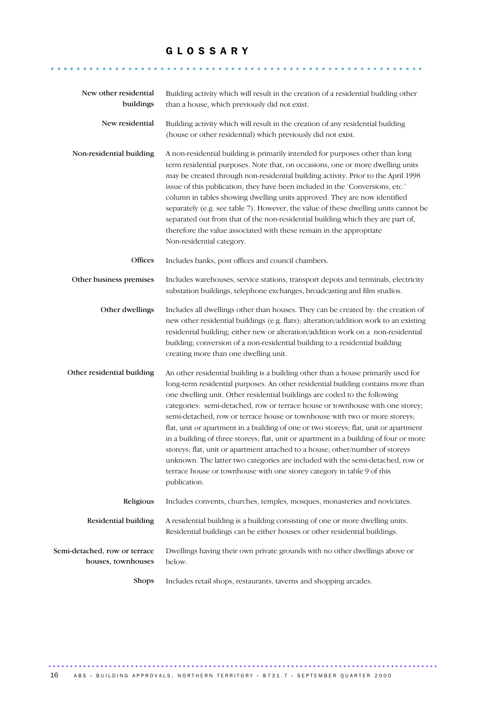## G L O S S A R Y

.......................................................... .......

| New other residential<br>buildings                  | Building activity which will result in the creation of a residential building other<br>than a house, which previously did not exist.                                                                                                                                                                                                                                                                                                                                                                                                                                                                                                                                                                                                                                                                                                                            |
|-----------------------------------------------------|-----------------------------------------------------------------------------------------------------------------------------------------------------------------------------------------------------------------------------------------------------------------------------------------------------------------------------------------------------------------------------------------------------------------------------------------------------------------------------------------------------------------------------------------------------------------------------------------------------------------------------------------------------------------------------------------------------------------------------------------------------------------------------------------------------------------------------------------------------------------|
| New residential                                     | Building activity which will result in the creation of any residential building<br>(house or other residential) which previously did not exist.                                                                                                                                                                                                                                                                                                                                                                                                                                                                                                                                                                                                                                                                                                                 |
| Non-residential building                            | A non-residential building is primarily intended for purposes other than long<br>term residential purposes. Note that, on occasions, one or more dwelling units<br>may be created through non-residential building activity. Prior to the April 1998<br>issue of this publication, they have been included in the 'Conversions, etc.'<br>column in tables showing dwelling units approved. They are now identified<br>separately (e.g. see table 7). However, the value of these dwelling units cannot be<br>separated out from that of the non-residential building which they are part of,<br>therefore the value associated with these remain in the appropriate<br>Non-residential category.                                                                                                                                                                |
| Offices                                             | Includes banks, post offices and council chambers.                                                                                                                                                                                                                                                                                                                                                                                                                                                                                                                                                                                                                                                                                                                                                                                                              |
| Other business premises                             | Includes warehouses, service stations, transport depots and terminals, electricity<br>substation buildings, telephone exchanges, broadcasting and film studios.                                                                                                                                                                                                                                                                                                                                                                                                                                                                                                                                                                                                                                                                                                 |
| Other dwellings                                     | Includes all dwellings other than houses. They can be created by: the creation of<br>new other residential buildings (e.g. flats); alteration/addition work to an existing<br>residential building; either new or alteration/addition work on a non-residential<br>building; conversion of a non-residential building to a residential building<br>creating more than one dwelling unit.                                                                                                                                                                                                                                                                                                                                                                                                                                                                        |
| Other residential building                          | An other residential building is a building other than a house primarily used for<br>long-term residential purposes. An other residential building contains more than<br>one dwelling unit. Other residential buildings are coded to the following<br>categories: semi-detached, row or terrace house or townhouse with one storey;<br>semi-detached, row or terrace house or townhouse with two or more storeys;<br>flat, unit or apartment in a building of one or two storeys; flat, unit or apartment<br>in a building of three storeys; flat, unit or apartment in a building of four or more<br>storeys; flat, unit or apartment attached to a house; other/number of storeys<br>unknown. The latter two categories are included with the semi-detached, row or<br>terrace house or townhouse with one storey category in table 9 of this<br>publication. |
| Religious                                           | Includes convents, churches, temples, mosques, monasteries and noviciates.                                                                                                                                                                                                                                                                                                                                                                                                                                                                                                                                                                                                                                                                                                                                                                                      |
| Residential building                                | A residential building is a building consisting of one or more dwelling units.<br>Residential buildings can be either houses or other residential buildings.                                                                                                                                                                                                                                                                                                                                                                                                                                                                                                                                                                                                                                                                                                    |
| Semi-detached, row or terrace<br>houses, townhouses | Dwellings having their own private grounds with no other dwellings above or<br>below.                                                                                                                                                                                                                                                                                                                                                                                                                                                                                                                                                                                                                                                                                                                                                                           |
| <b>Shops</b>                                        | Includes retail shops, restaurants, taverns and shopping arcades.                                                                                                                                                                                                                                                                                                                                                                                                                                                                                                                                                                                                                                                                                                                                                                                               |